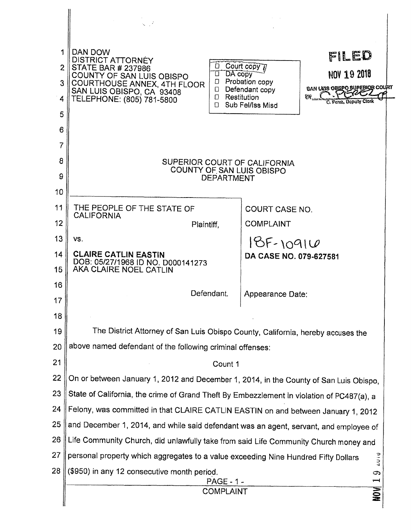|                        | $\sqrt{2}$                                                                                                                                                                                                            |                                                                                                                                                                                         |  |  |  |  |  |
|------------------------|-----------------------------------------------------------------------------------------------------------------------------------------------------------------------------------------------------------------------|-----------------------------------------------------------------------------------------------------------------------------------------------------------------------------------------|--|--|--|--|--|
| 1<br>2<br>3.<br>4<br>5 | DAN DOW<br><b>DISTRICT ATTORNEY</b><br><b>STATE BAR # 237986</b><br>COUNTY OF SAN LUIS OBISPO<br>$\Box$<br>COURTHOUSE ANNEX, 4TH FLOOR<br>$\Box$<br>SAN LUIS OBISPO, CA 93408<br>n.<br>TELEPHONE: (805) 781-5800<br>П | FILED<br>Court copy n<br>NOV 19 2018<br>DA copy<br>Probation copy<br>BAN LUIS OBSPOSUPERIOR COUPT<br>Defendant copy<br>Restitution<br>EW.<br>C. Perez. Deputy Cierk<br>Sub Fel/Iss Misd |  |  |  |  |  |
| 6<br>7<br>8<br>9       | SUPERIOR COURT OF CALIFORNIA<br>COUNTY OF SAN LUIS OBISPO<br><b>DEPARTMENT</b>                                                                                                                                        |                                                                                                                                                                                         |  |  |  |  |  |
| 10<br>11<br>12         | THE PEOPLE OF THE STATE OF<br><b>CALIFORNIA</b><br>Plaintiff,                                                                                                                                                         | <b>COURT CASE NO.</b><br><b>COMPLAINT</b>                                                                                                                                               |  |  |  |  |  |
| 13<br>14<br>15         | VS.<br><b>CLAIRE CATLIN EASTIN</b><br>DOB: 05/27/1968 ID NO. D000141273<br>AKA CLAIRE NOEL CATLIN                                                                                                                     | $18F - 10916$<br>DA CASE NO. 079-627581                                                                                                                                                 |  |  |  |  |  |
| 16<br>17<br>18         | Defendant.                                                                                                                                                                                                            | Appearance Date:                                                                                                                                                                        |  |  |  |  |  |
| 19                     | The District Attorney of San Luis Obispo County, California, hereby accuses the                                                                                                                                       |                                                                                                                                                                                         |  |  |  |  |  |
| 20                     | above named defendant of the following criminal offenses:                                                                                                                                                             |                                                                                                                                                                                         |  |  |  |  |  |
| 21                     | Count 1                                                                                                                                                                                                               |                                                                                                                                                                                         |  |  |  |  |  |
| 22                     | On or between January 1, 2012 and December 1, 2014, in the County of San Luis Obispo,                                                                                                                                 |                                                                                                                                                                                         |  |  |  |  |  |
| 23<br>24               | State of California, the crime of Grand Theft By Embezzlement in violation of PC487(a), a                                                                                                                             |                                                                                                                                                                                         |  |  |  |  |  |
| 25                     | Felony, was committed in that CLAIRE CATLIN EASTIN on and between January 1, 2012<br>and December 1, 2014, and while said defendant was an agent, servant, and employee of                                            |                                                                                                                                                                                         |  |  |  |  |  |
| 26                     | Life Community Church, did unlawfully take from said Life Community Church money and                                                                                                                                  |                                                                                                                                                                                         |  |  |  |  |  |
| 27                     | <b>TAIN</b><br>personal property which aggregates to a value exceeding Nine Hundred Fifty Dollars                                                                                                                     |                                                                                                                                                                                         |  |  |  |  |  |
| 28                     | (\$950) in any 12 consecutive month period.<br>౧                                                                                                                                                                      |                                                                                                                                                                                         |  |  |  |  |  |
|                        | <b>PAGE - 1 -</b><br>┯<br>NON<br><b>COMPLAINT</b>                                                                                                                                                                     |                                                                                                                                                                                         |  |  |  |  |  |
|                        |                                                                                                                                                                                                                       |                                                                                                                                                                                         |  |  |  |  |  |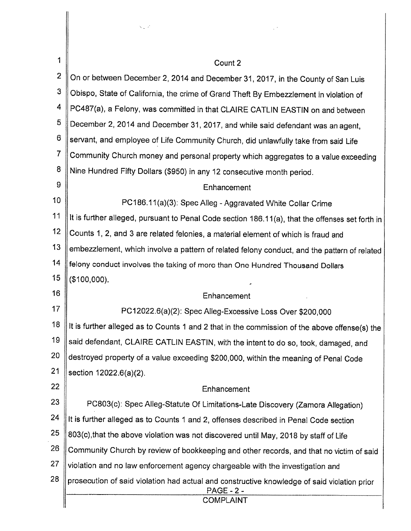|                | NU P                                                                                                             |  |  |  |  |  |
|----------------|------------------------------------------------------------------------------------------------------------------|--|--|--|--|--|
|                |                                                                                                                  |  |  |  |  |  |
| 1              | Count 2                                                                                                          |  |  |  |  |  |
| $\overline{2}$ | On or between December 2, 2014 and December 31, 2017, in the County of San Luis                                  |  |  |  |  |  |
| 3              | Obispo, State of California, the crime of Grand Theft By Embezzlement in violation of                            |  |  |  |  |  |
| 4              | PC487(a), a Felony, was committed in that CLAIRE CATLIN EASTIN on and between                                    |  |  |  |  |  |
| 5              | December 2, 2014 and December 31, 2017, and while said defendant was an agent,                                   |  |  |  |  |  |
| 6              | servant, and employee of Life Community Church, did unlawfully take from said Life                               |  |  |  |  |  |
| $\overline{7}$ | Community Church money and personal property which aggregates to a value exceeding                               |  |  |  |  |  |
| 8              | Nine Hundred Fifty Dollars (\$950) in any 12 consecutive month period.                                           |  |  |  |  |  |
| 9              | Enhancement                                                                                                      |  |  |  |  |  |
| 10             | PC186.11(a)(3): Spec Alleg - Aggravated White Collar Crime                                                       |  |  |  |  |  |
| 11             | It is further alleged, pursuant to Penal Code section 186.11(a), that the offenses set forth in                  |  |  |  |  |  |
| 12             | Counts 1, 2, and 3 are related felonies, a material element of which is fraud and                                |  |  |  |  |  |
| 13             | embezzlement, which involve a pattern of related felony conduct, and the pattern of related                      |  |  |  |  |  |
| 14             | felony conduct involves the taking of more than One Hundred Thousand Dollars                                     |  |  |  |  |  |
| 15             | (\$100,000).                                                                                                     |  |  |  |  |  |
| 16             | Enhancement                                                                                                      |  |  |  |  |  |
| 17             | PC12022.6(a)(2): Spec Alleg-Excessive Loss Over \$200,000                                                        |  |  |  |  |  |
| 18             | It is further alleged as to Counts 1 and 2 that in the commission of the above offense(s) the                    |  |  |  |  |  |
| 19             | said defendant, CLAIRE CATLIN EASTIN, with the intent to do so, took, damaged, and                               |  |  |  |  |  |
| 20             | destroyed property of a value exceeding \$200,000, within the meaning of Penal Code                              |  |  |  |  |  |
| 21             | section 12022.6(a)(2).                                                                                           |  |  |  |  |  |
| 22             | Enhancement                                                                                                      |  |  |  |  |  |
| 23             | PC803(c): Spec Alleg-Statute Of Limitations-Late Discovery (Zamora Allegation)                                   |  |  |  |  |  |
| 24             | It is further alleged as to Counts 1 and 2, offenses described in Penal Code section                             |  |  |  |  |  |
| 25             | 803(c), that the above violation was not discovered until May, 2018 by staff of Life                             |  |  |  |  |  |
| 26             | Community Church by review of bookkeeping and other records, and that no victim of said                          |  |  |  |  |  |
| 27             | violation and no law enforcement agency chargeable with the investigation and                                    |  |  |  |  |  |
| 28             | prosecution of said violation had actual and constructive knowledge of said violation prior<br><b>PAGE - 2 -</b> |  |  |  |  |  |
|                | <b>COMPLAINT</b>                                                                                                 |  |  |  |  |  |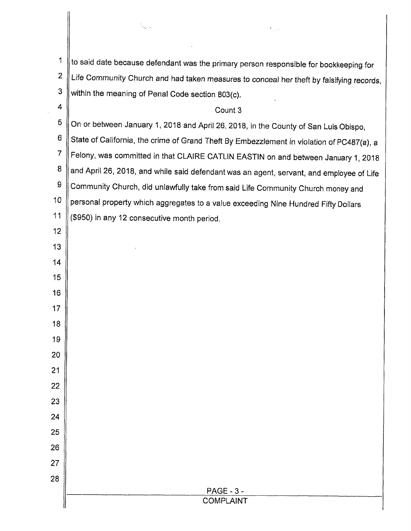$1 \parallel$  to said date because defendant was the primary person responsible for bookkeeping for  $2 \parallel$  Life Community Church and had taken measures to conceal her theft by falsifying records,  $3$  within the meaning of Penal Code section 803(c). 4 Count 3

S

 $5 \parallel$  On or between January 1, 2018 and April 26, 2018, in the County of San Luis Obispo,

 $6 \parallel$  State of California, the crime of Grand Theft By Embezzlement in violation of PC487(a), a

7 | Felony, was committed in that CLAIRE CATLIN EASTIN on and between January 1, 2018

8 | and April 26, 2018, and while said defendant was an agent, servant, and employee of Life

 $9$  Community Church, did unlawfully take from said Life Community Church money and

10 | personal property which aggregates to a value exceeding Nine Hundred Fifty Dollars

11  $\parallel$  (\$950) in any 12 consecutive month period.

12

13

14

15

16

17

18

")9

20

21

22

23

24

25

26

27

28

## PAGE - 3 - COMPLAINT

l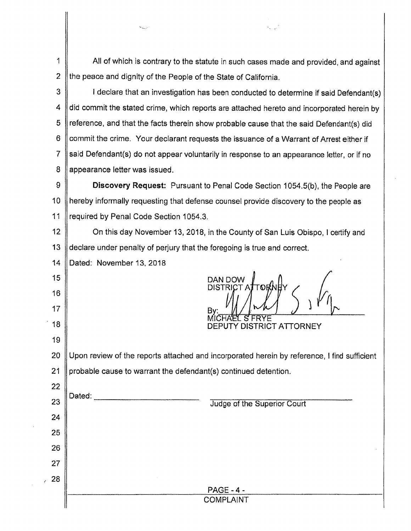1 | All of which is contrary to the statute in such cases made and provided, and against 2  $\parallel$  the peace and dignity of the People of the State of California.

 $3 \parallel$  l declare that an investigation has been conducted to determine if said Defendant(s) 4 I did commit the stated crime, which reports are attached hereto and incorporated herein by  $5 \parallel$  reference, and that the facts therein show probable cause that the said Defendant(s) did 6 Commit the crime. Your declarant requests the issuance of a Warrant of Arrest either if 7 Said Defendant(s) do not appear voluntarily in response to an appearance letter, or if no 8 || appearance letter was issued.

9 **Discovery Request:** Pursuant to Penal Code Section 1054.5(b), the People are 10 | hereby informally requesting that defense counsel provide discovery to the people as 11 || required by Penal Code Section 1054.3.

12 **On this day November 13, 2018, in the County of San Luis Obispo, I certify and** 13 declare under penalty of perjury that the foregoing is true and correct.

14 | Dated: November 13, 2018

15

16

17

18

19

22

23

24

25

26

27

, 28

Dated:

 $\frac{1}{2}$ <br>SISTRICT ATOPALY

S FRYE DEPUTY DISTRICT ATTORNEY

20 Upon review of the reports attached and incorporated herein by reference, I find sufficient 21 | probable cause to warrant the defendant(s) continued detention.

Judge of the Superior Court

PAGE - 4 - COMPLAINT